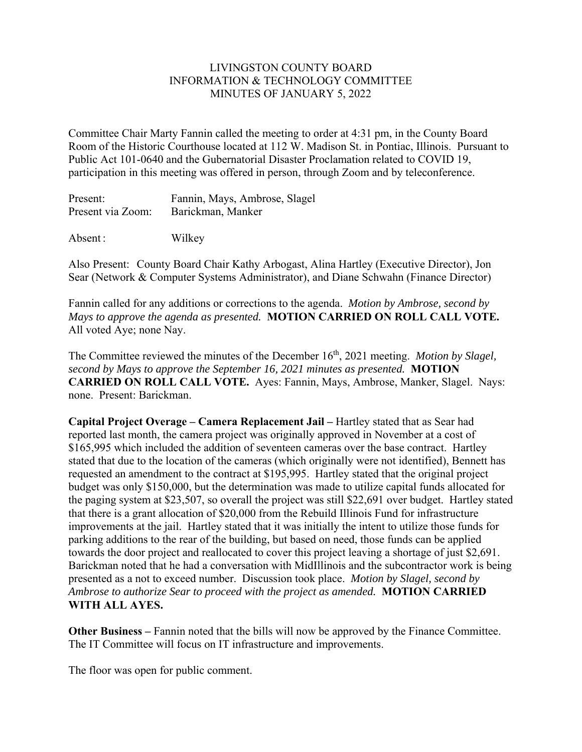## LIVINGSTON COUNTY BOARD INFORMATION & TECHNOLOGY COMMITTEE MINUTES OF JANUARY 5, 2022

Committee Chair Marty Fannin called the meeting to order at 4:31 pm, in the County Board Room of the Historic Courthouse located at 112 W. Madison St. in Pontiac, Illinois. Pursuant to Public Act 101-0640 and the Gubernatorial Disaster Proclamation related to COVID 19, participation in this meeting was offered in person, through Zoom and by teleconference.

| Present:          | Fannin, Mays, Ambrose, Slagel |
|-------------------|-------------------------------|
| Present via Zoom: | Barickman, Manker             |

Absent : Wilkey

Also Present: County Board Chair Kathy Arbogast, Alina Hartley (Executive Director), Jon Sear (Network & Computer Systems Administrator), and Diane Schwahn (Finance Director)

Fannin called for any additions or corrections to the agenda. *Motion by Ambrose, second by Mays to approve the agenda as presented.* **MOTION CARRIED ON ROLL CALL VOTE.**  All voted Aye; none Nay.

The Committee reviewed the minutes of the December 16<sup>th</sup>, 2021 meeting. *Motion by Slagel*, *second by Mays to approve the September 16, 2021 minutes as presented.* **MOTION CARRIED ON ROLL CALL VOTE.** Ayes: Fannin, Mays, Ambrose, Manker, Slagel. Nays: none. Present: Barickman.

**Capital Project Overage – Camera Replacement Jail –** Hartley stated that as Sear had reported last month, the camera project was originally approved in November at a cost of \$165,995 which included the addition of seventeen cameras over the base contract. Hartley stated that due to the location of the cameras (which originally were not identified), Bennett has requested an amendment to the contract at \$195,995. Hartley stated that the original project budget was only \$150,000, but the determination was made to utilize capital funds allocated for the paging system at \$23,507, so overall the project was still \$22,691 over budget. Hartley stated that there is a grant allocation of \$20,000 from the Rebuild Illinois Fund for infrastructure improvements at the jail. Hartley stated that it was initially the intent to utilize those funds for parking additions to the rear of the building, but based on need, those funds can be applied towards the door project and reallocated to cover this project leaving a shortage of just \$2,691. Barickman noted that he had a conversation with MidIllinois and the subcontractor work is being presented as a not to exceed number. Discussion took place. *Motion by Slagel, second by Ambrose to authorize Sear to proceed with the project as amended.* **MOTION CARRIED WITH ALL AYES.** 

**Other Business –** Fannin noted that the bills will now be approved by the Finance Committee. The IT Committee will focus on IT infrastructure and improvements.

The floor was open for public comment.